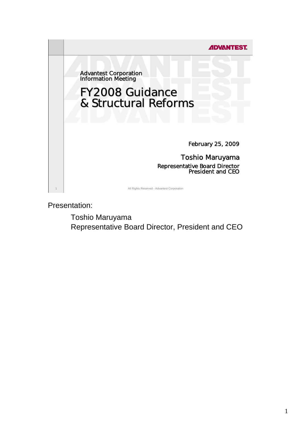

Presentation:

Toshio Maruyama Representative Board Director, President and CEO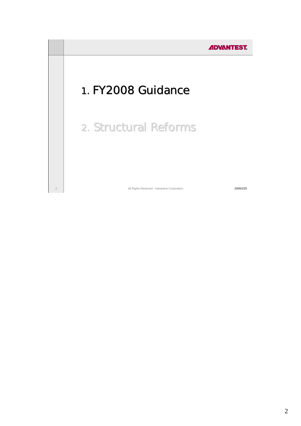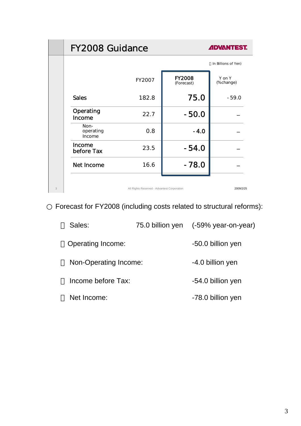|   | <b>FY2008 Guidance</b>      |                                             |                             | <b>ADVANTEST.</b>    |
|---|-----------------------------|---------------------------------------------|-----------------------------|----------------------|
|   |                             |                                             |                             | In Billions of Yen)  |
|   |                             | FY2007                                      | <b>FY2008</b><br>(Forecast) | Y on Y<br>(% change) |
|   | <b>Sales</b>                | 182.8                                       | 75.0                        | $-59.0$              |
|   | Operating<br><b>Income</b>  | 22.7                                        | $-50.0$                     |                      |
|   | Non-<br>operating<br>Income | 0.8                                         | $-4.0$                      |                      |
|   | Income<br>before Tax        | 23.5                                        | $-54.0$                     |                      |
|   | Net Income                  | 16.6                                        | $-78.0$                     |                      |
| 3 |                             | All Rights Reserved - Advantest Corporation |                             | 2009/2/25            |

Forecast for FY2008 (including costs related to structural reforms):

| Sales:                |  | 75.0 billion yen (-59% year-on-year) |
|-----------------------|--|--------------------------------------|
| Operating Income:     |  | -50.0 billion yen                    |
| Non-Operating Income: |  | -4.0 billion yen                     |
| Income before Tax:    |  | -54.0 billion yen                    |
| Net Income:           |  | -78.0 billion yen                    |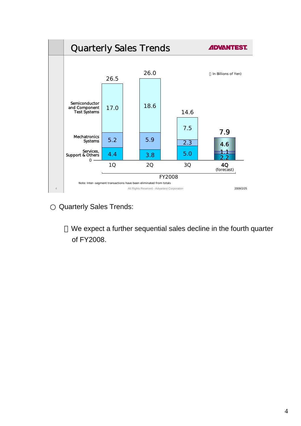

Quarterly Sales Trends:

We expect a further sequential sales decline in the fourth quarter of FY2008.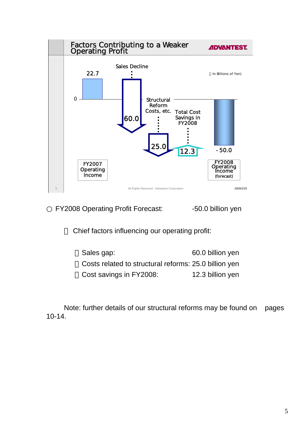

FY2008 Operating Profit Forecast: - 50.0 billion yen

Chief factors influencing our operating profit:

Sales gap: 60.0 billion yen Costs related to structural reforms: 25.0 billion yen Cost savings in FY2008: 12.3 billion yen

Note: further details of our structural reforms may be found on pages 10-14.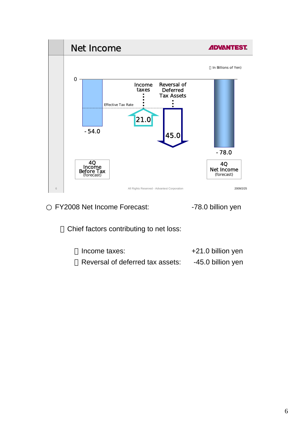

FY2008 Net Income Forecast: - 78.0 billion yen

Chief factors contributing to net loss:

| Income taxes:                    | +21.0 billion yen |
|----------------------------------|-------------------|
| Reversal of deferred tax assets: | -45.0 billion yen |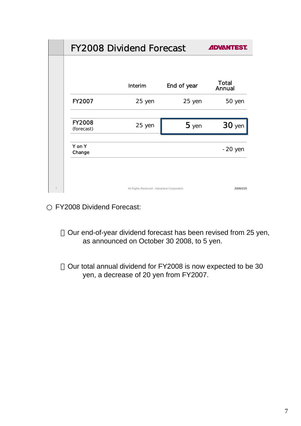|                | <b>FY2008 Dividend Forecast</b>             |         |             | <b>ADVANTEST.</b>      |
|----------------|---------------------------------------------|---------|-------------|------------------------|
|                |                                             |         |             |                        |
|                |                                             | Interim | End of year | <b>Total</b><br>Annual |
|                | <b>FY2007</b>                               | 25 yen  | 25 yen      | 50 yen                 |
|                | <b>FY2008</b><br>(forecast)                 | 25 yen  | $5$ yen     | <b>30</b> yen          |
|                | Y on Y<br>Change                            |         |             | $-20$ yen              |
|                |                                             |         |             |                        |
| $\overline{7}$ | All Rights Reserved - Advantest Corporation |         | 2009/2/25   |                        |

FY2008 Dividend Forecast:

Our end-of-year dividend forecast has been revised from 25 yen, as announced on October 30 2008, to 5 yen.

Our total annual dividend for FY2008 is now expected to be 30 yen, a decrease of 20 yen from FY2007.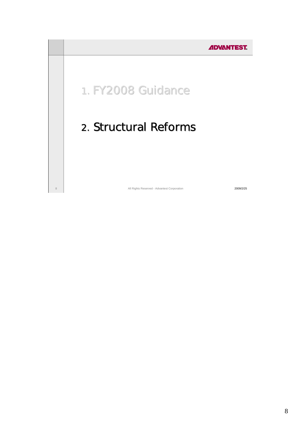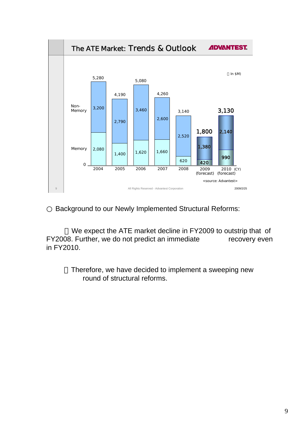

Background to our Newly Implemented Structural Reforms:

We expect the ATE market decline in FY2009 to outstrip that of FY2008. Further, we do not predict an immediate recovery even in FY2010.

> Therefore, we have decided to implement a sweeping new round of structural reforms.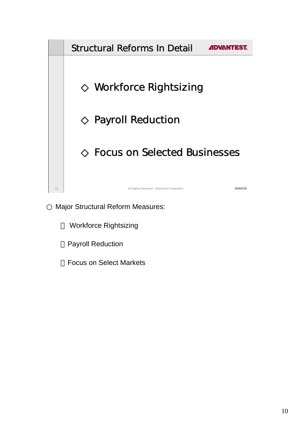

Major Structural Reform Measures:

**Workforce Rightsizing** 

**Payroll Reduction** 

**Focus on Select Markets**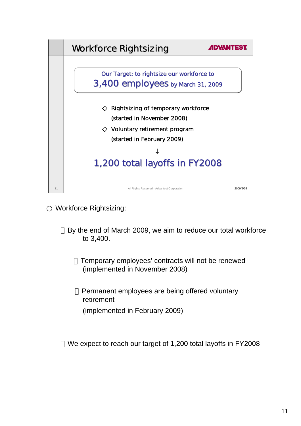

Workforce Rightsizing:

By the end of March 2009, we aim to reduce our total workforce to 3,400.

Temporary employees' contracts will not be renewed (implemented in November 2008)

Permanent employees are being offered voluntary retirement

(implemented in February 2009)

We expect to reach our target of 1,200 total layoffs in FY2008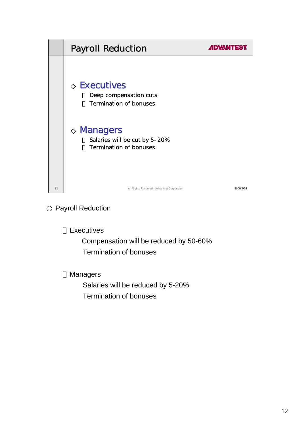

Payroll Reduction

**Executives** 

 Compensation will be reduced by 50-60% Termination of bonuses

**Managers** 

 Salaries will be reduced by 5-20% Termination of bonuses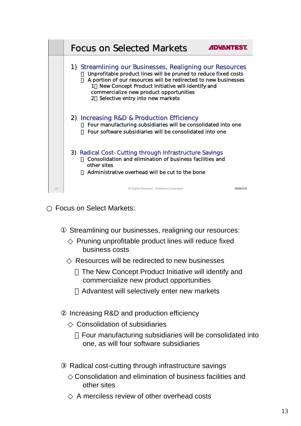|    | <b>Focus on Selected Markets</b><br><b>ADVANTEST</b>                                                                                                                                                                                                                                                                                                  |
|----|-------------------------------------------------------------------------------------------------------------------------------------------------------------------------------------------------------------------------------------------------------------------------------------------------------------------------------------------------------|
|    | 1) Streamlining our Businesses, Realigning our Resources<br>Unprofitable product lines will be pruned to reduce fixed costs<br>A portion of our resources will be redirected to new businesses<br>New Concept Product Initiative will identify and<br>1<br>commercialize new product opportunities<br>Selective entry into new markets<br>$2^{\circ}$ |
|    | 2) Increasing R&D & Production Efficiency<br>Four manufacturing subsidiaries will be consolidated into one<br>Four software subsidiaries will be consolidated into one                                                                                                                                                                                |
|    | 3) Radical Cost-Cutting through Infrastructure Savings<br>Consolidation and elimination of business facilities and<br>other sites<br>Administrative overhead will be cut to the bone                                                                                                                                                                  |
| 13 | All Rights Reserved - Advantest Corporation<br>2009/2/25                                                                                                                                                                                                                                                                                              |

Focus on Select Markets:

Streamlining our businesses, realigning our resources:

Pruning unprofitable product lines will reduce fixed business costs

Resources will be redirected to new businesses

The New Concept Product Initiative will identify and commercialize new product opportunities

Advantest will selectively enter new markets

Increasing R&D and production efficiency

Consolidation of subsidiaries

Four manufacturing subsidiaries will be consolidated into one, as will four software subsidiaries

Radical cost-cutting through infrastructure savings

 ◇Consolidation and elimination of business facilities and other sites

A merciless review of other overhead costs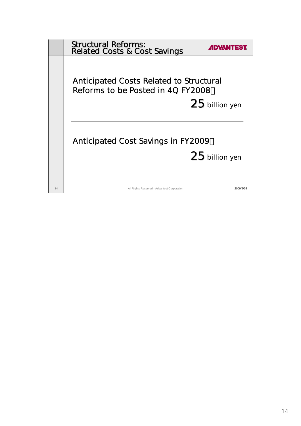